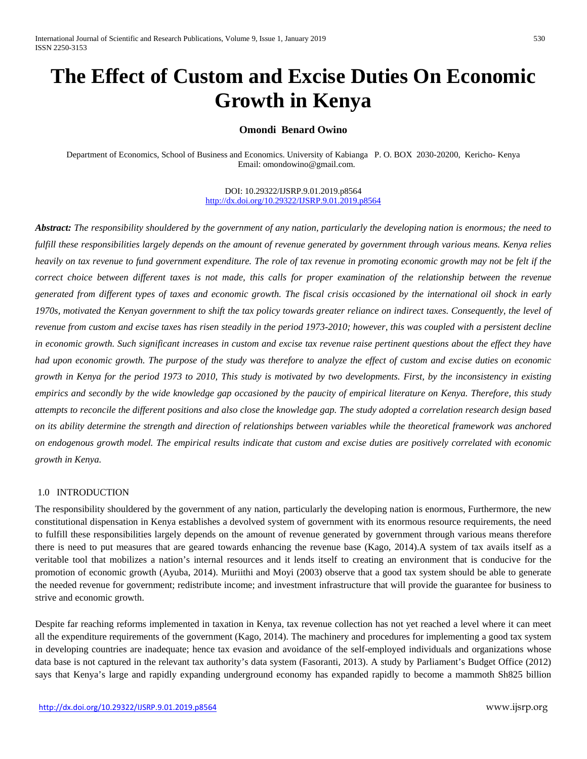# **The Effect of Custom and Excise Duties On Economic Growth in Kenya**

# **Omondi Benard Owino**

Department of Economics, School of Business and Economics. University of Kabianga P. O. BOX 2030-20200, Kericho- Kenya Email: [omondowino@gmail.com.](mailto:omondowino@gmail.com)

> DOI: 10.29322/IJSRP.9.01.2019.p8564 <http://dx.doi.org/10.29322/IJSRP.9.01.2019.p8564>

*Abstract: The responsibility shouldered by the government of any nation, particularly the developing nation is enormous; the need to fulfill these responsibilities largely depends on the amount of revenue generated by government through various means. Kenya relies heavily on tax revenue to fund government expenditure. The role of tax revenue in promoting economic growth may not be felt if the correct choice between different taxes is not made, this calls for proper examination of the relationship between the revenue generated from different types of taxes and economic growth. The fiscal crisis occasioned by the international oil shock in early 1970s, motivated the Kenyan government to shift the tax policy towards greater reliance on indirect taxes. Consequently, the level of revenue from custom and excise taxes has risen steadily in the period 1973-2010; however, this was coupled with a persistent decline in economic growth. Such significant increases in custom and excise tax revenue raise pertinent questions about the effect they have had upon economic growth. The purpose of the study was therefore to analyze the effect of custom and excise duties on economic growth in Kenya for the period 1973 to 2010, This study is motivated by two developments. First, by the inconsistency in existing empirics and secondly by the wide knowledge gap occasioned by the paucity of empirical literature on Kenya. Therefore, this study attempts to reconcile the different positions and also close the knowledge gap. The study adopted a correlation research design based on its ability determine the strength and direction of relationships between variables while the theoretical framework was anchored on endogenous growth model. The empirical results indicate that custom and excise duties are positively correlated with economic growth in Kenya.* 

#### 1.0 INTRODUCTION

The responsibility shouldered by the government of any nation, particularly the developing nation is enormous, Furthermore, the new constitutional dispensation in Kenya establishes a devolved system of government with its enormous resource requirements, the need to fulfill these responsibilities largely depends on the amount of revenue generated by government through various means therefore there is need to put measures that are geared towards enhancing the revenue base (Kago, 2014).A system of tax avails itself as a veritable tool that mobilizes a nation's internal resources and it lends itself to creating an environment that is conducive for the promotion of economic growth (Ayuba, 2014). Muriithi and Moyi (2003) observe that a good tax system should be able to generate the needed revenue for government; redistribute income; and investment infrastructure that will provide the guarantee for business to strive and economic growth.

Despite far reaching reforms implemented in taxation in Kenya, tax revenue collection has not yet reached a level where it can meet all the expenditure requirements of the government (Kago, 2014). The machinery and procedures for implementing a good tax system in developing countries are inadequate; hence tax evasion and avoidance of the self-employed individuals and organizations whose data base is not captured in the relevant tax authority's data system (Fasoranti, 2013). A study by Parliament's Budget Office (2012) says that Kenya's large and rapidly expanding underground economy has expanded rapidly to become a mammoth Sh825 billion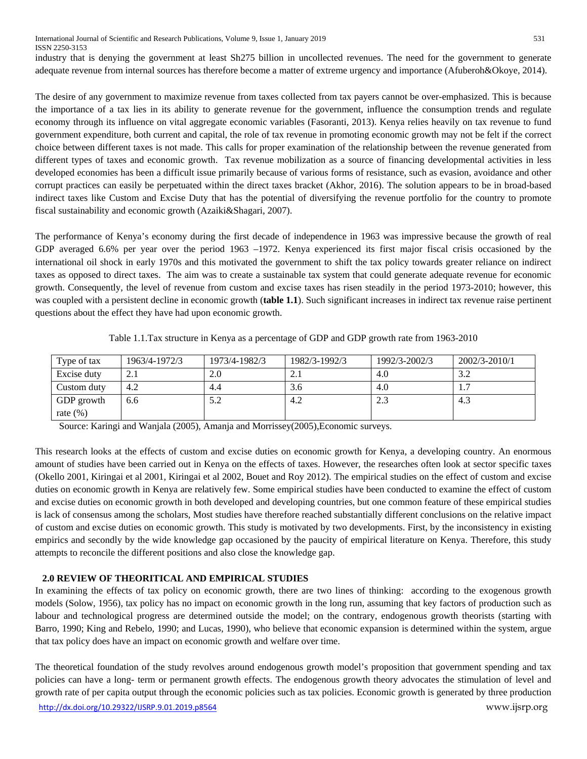International Journal of Scientific and Research Publications, Volume 9, Issue 1, January 2019 531 ISSN 2250-3153

industry that is denying the government at least Sh275 billion in uncollected revenues. The need for the government to generate adequate revenue from internal sources has therefore become a matter of extreme urgency and importance (Afuberoh&Okoye, 2014).

The desire of any government to maximize revenue from taxes collected from tax payers cannot be over-emphasized. This is because the importance of a tax lies in its ability to generate revenue for the government, influence the consumption trends and regulate economy through its influence on vital aggregate economic variables (Fasoranti, 2013). Kenya relies heavily on tax revenue to fund government expenditure, both current and capital, the role of tax revenue in promoting economic growth may not be felt if the correct choice between different taxes is not made. This calls for proper examination of the relationship between the revenue generated from different types of taxes and economic growth. Tax revenue mobilization as a source of financing developmental activities in less developed economies has been a difficult issue primarily because of various forms of resistance, such as evasion, avoidance and other corrupt practices can easily be perpetuated within the direct taxes bracket (Akhor, 2016). The solution appears to be in broad-based indirect taxes like Custom and Excise Duty that has the potential of diversifying the revenue portfolio for the country to promote fiscal sustainability and economic growth (Azaiki&Shagari, 2007).

The performance of Kenya's economy during the first decade of independence in 1963 was impressive because the growth of real GDP averaged 6.6% per year over the period 1963 –1972. Kenya experienced its first major fiscal crisis occasioned by the international oil shock in early 1970s and this motivated the government to shift the tax policy towards greater reliance on indirect taxes as opposed to direct taxes. The aim was to create a sustainable tax system that could generate adequate revenue for economic growth. Consequently, the level of revenue from custom and excise taxes has risen steadily in the period 1973-2010; however, this was coupled with a persistent decline in economic growth (**table 1.1**). Such significant increases in indirect tax revenue raise pertinent questions about the effect they have had upon economic growth.

| Type of tax  | 1963/4-1972/3 | 1973/4-1982/3 | 1982/3-1992/3 | 1992/3-2002/3 | $2002/3 - 2010/1$ |
|--------------|---------------|---------------|---------------|---------------|-------------------|
| Excise duty  | 2.1           | 2.0           |               | 4.0           | 3.2               |
| Custom duty  | 4.2           | 4.4           | 3.6           | 4()           | .                 |
| GDP growth   | 6.6           | 5.2           | 4.2           | 2.3           | 4.3               |
| rate $(\% )$ |               |               |               |               |                   |

Table 1.1.Tax structure in Kenya as a percentage of GDP and GDP growth rate from 1963-2010

Source: Karingi and Wanjala (2005), Amanja and Morrissey(2005),Economic surveys.

This research looks at the effects of custom and excise duties on economic growth for Kenya, a developing country. An enormous amount of studies have been carried out in Kenya on the effects of taxes. However, the researches often look at sector specific taxes (Okello 2001, Kiringai et al 2001, Kiringai et al 2002, Bouet and Roy 2012). The empirical studies on the effect of custom and excise duties on economic growth in Kenya are relatively few. Some empirical studies have been conducted to examine the effect of custom and excise duties on economic growth in both developed and developing countries, but one common feature of these empirical studies is lack of consensus among the scholars, Most studies have therefore reached substantially different conclusions on the relative impact of custom and excise duties on economic growth. This study is motivated by two developments. First, by the inconsistency in existing empirics and secondly by the wide knowledge gap occasioned by the paucity of empirical literature on Kenya. Therefore, this study attempts to reconcile the different positions and also close the knowledge gap.

# **2.0 REVIEW OF THEORITICAL AND EMPIRICAL STUDIES**

In examining the effects of tax policy on economic growth, there are two lines of thinking: according to the exogenous growth models (Solow, 1956), tax policy has no impact on economic growth in the long run, assuming that key factors of production such as labour and technological progress are determined outside the model; on the contrary, endogenous growth theorists (starting with Barro, 1990; King and Rebelo, 1990; and Lucas, 1990), who believe that economic expansion is determined within the system, argue that tax policy does have an impact on economic growth and welfare over time.

The theoretical foundation of the study revolves around endogenous growth model's proposition that government spending and tax policies can have a long- term or permanent growth effects. The endogenous growth theory advocates the stimulation of level and growth rate of per capita output through the economic policies such as tax policies. Economic growth is generated by three production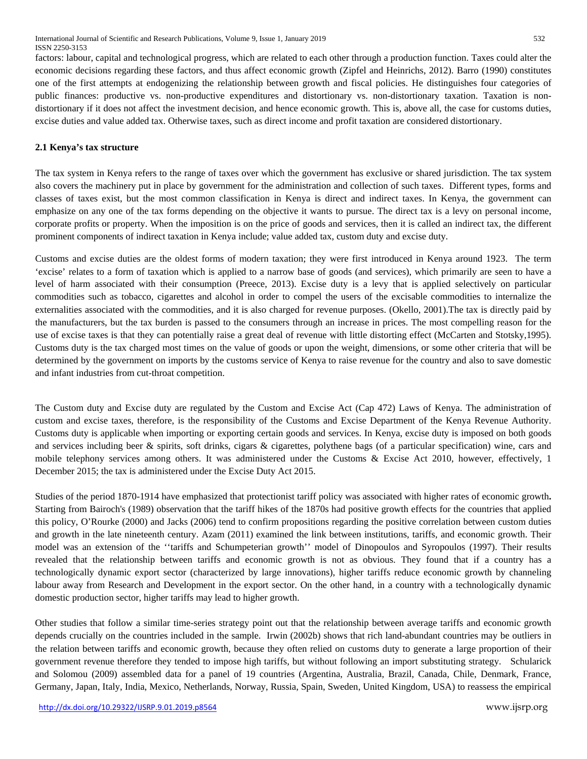factors: labour, capital and technological progress, which are related to each other through a production function. Taxes could alter the economic decisions regarding these factors, and thus affect economic growth (Zipfel and Heinrichs, 2012). Barro (1990) constitutes one of the first attempts at endogenizing the relationship between growth and fiscal policies. He distinguishes four categories of public finances: productive vs. non-productive expenditures and distortionary vs. non-distortionary taxation. Taxation is nondistortionary if it does not affect the investment decision, and hence economic growth. This is, above all, the case for customs duties, excise duties and value added tax. Otherwise taxes, such as direct income and profit taxation are considered distortionary.

# **2.1 Kenya's tax structure**

The tax system in Kenya refers to the range of taxes over which the government has exclusive or shared jurisdiction. The tax system also covers the machinery put in place by government for the administration and collection of such taxes. Different types, forms and classes of taxes exist, but the most common classification in Kenya is direct and indirect taxes. In Kenya, the government can emphasize on any one of the tax forms depending on the objective it wants to pursue. The direct tax is a levy on personal income, corporate profits or property. When the imposition is on the price of goods and services, then it is called an indirect tax, the different prominent components of indirect taxation in Kenya include; value added tax, custom duty and excise duty.

Customs and excise duties are the oldest forms of modern taxation; they were first introduced in Kenya around 1923. The term 'excise' relates to a form of taxation which is applied to a narrow base of goods (and services), which primarily are seen to have a level of harm associated with their consumption (Preece, 2013). Excise duty is a levy that is applied selectively on particular commodities such as tobacco, cigarettes and alcohol in order to compel the users of the excisable commodities to internalize the externalities associated with the commodities, and it is also charged for revenue purposes. (Okello, 2001).The tax is directly paid by the manufacturers, but the tax burden is passed to the consumers through an increase in prices. The most compelling reason for the use of excise taxes is that they can potentially raise a great deal of revenue with little distorting effect (McCarten and Stotsky,1995). Customs duty is the tax charged most times on the value of goods or upon the weight, dimensions, or some other criteria that will be determined by the government on imports by the customs service of Kenya to raise revenue for the country and also to save domestic and infant industries from cut-throat competition.

The Custom duty and Excise duty are regulated by the Custom and Excise Act (Cap 472) Laws of Kenya. The administration of custom and excise taxes, therefore, is the responsibility of the Customs and Excise Department of the Kenya Revenue Authority. Customs duty is applicable when importing or exporting certain goods and services. In Kenya, excise duty is imposed on both goods and services including beer & spirits, soft drinks, cigars & cigarettes, polythene bags (of a particular specification) wine, cars and mobile telephony services among others. It was administered under the Customs & Excise Act 2010, however, effectively, 1 December 2015; the tax is administered under the Excise Duty Act 2015.

Studies of the period 1870-1914 have emphasized that protectionist tariff policy was associated with higher rates of economic growth**.** Starting from Bairoch's (1989) observation that the tariff hikes of the 1870s had positive growth effects for the countries that applied this policy, O'Rourke (2000) and Jacks (2006) tend to confirm propositions regarding the positive correlation between custom duties and growth in the late nineteenth century. Azam (2011) examined the link between institutions, tariffs, and economic growth. Their model was an extension of the ''tariffs and Schumpeterian growth'' model of Dinopoulos and Syropoulos (1997). Their results revealed that the relationship between tariffs and economic growth is not as obvious. They found that if a country has a technologically dynamic export sector (characterized by large innovations), higher tariffs reduce economic growth by channeling labour away from Research and Development in the export sector. On the other hand, in a country with a technologically dynamic domestic production sector, higher tariffs may lead to higher growth.

Other studies that follow a similar time-series strategy point out that the relationship between average tariffs and economic growth depends crucially on the countries included in the sample. Irwin (2002b) shows that rich land-abundant countries may be outliers in the relation between tariffs and economic growth, because they often relied on customs duty to generate a large proportion of their government revenue therefore they tended to impose high tariffs, but without following an import substituting strategy. Schularick and Solomou (2009) assembled data for a panel of 19 countries (Argentina, Australia, Brazil, Canada, Chile, Denmark, France, Germany, Japan, Italy, India, Mexico, Netherlands, Norway, Russia, Spain, Sweden, United Kingdom, USA) to reassess the empirical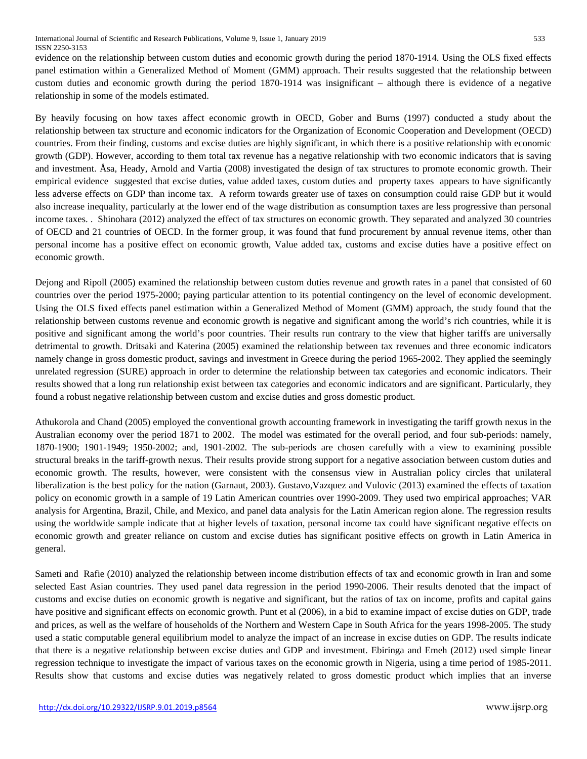evidence on the relationship between custom duties and economic growth during the period 1870-1914. Using the OLS fixed effects panel estimation within a Generalized Method of Moment (GMM) approach. Their results suggested that the relationship between custom duties and economic growth during the period 1870-1914 was insignificant – although there is evidence of a negative relationship in some of the models estimated.

By heavily focusing on how taxes affect economic growth in OECD, Gober and Burns (1997) conducted a study about the relationship between tax structure and economic indicators for the Organization of Economic Cooperation and Development (OECD) countries. From their finding, customs and excise duties are highly significant, in which there is a positive relationship with economic growth (GDP). However, according to them total tax revenue has a negative relationship with two economic indicators that is saving and investment. Åsa, Heady, Arnold and Vartia (2008) investigated the design of tax structures to promote economic growth. Their empirical evidence suggested that excise duties, value added taxes, custom duties and property taxes appears to have significantly less adverse effects on GDP than income tax. A reform towards greater use of taxes on consumption could raise GDP but it would also increase inequality, particularly at the lower end of the wage distribution as consumption taxes are less progressive than personal income taxes. . Shinohara (2012) analyzed the effect of tax structures on economic growth. They separated and analyzed 30 countries of OECD and 21 countries of OECD. In the former group, it was found that fund procurement by annual revenue items, other than personal income has a positive effect on economic growth, Value added tax, customs and excise duties have a positive effect on economic growth.

Dejong and Ripoll (2005) examined the relationship between custom duties revenue and growth rates in a panel that consisted of 60 countries over the period 1975-2000; paying particular attention to its potential contingency on the level of economic development. Using the OLS fixed effects panel estimation within a Generalized Method of Moment (GMM) approach, the study found that the relationship between customs revenue and economic growth is negative and significant among the world's rich countries, while it is positive and significant among the world's poor countries. Their results run contrary to the view that higher tariffs are universally detrimental to growth. Dritsaki and Katerina (2005) examined the relationship between tax revenues and three economic indicators namely change in gross domestic product, savings and investment in Greece during the period 1965-2002. They applied the seemingly unrelated regression (SURE) approach in order to determine the relationship between tax categories and economic indicators. Their results showed that a long run relationship exist between tax categories and economic indicators and are significant. Particularly, they found a robust negative relationship between custom and excise duties and gross domestic product.

Athukorola and Chand (2005) employed the conventional growth accounting framework in investigating the tariff growth nexus in the Australian economy over the period 1871 to 2002. The model was estimated for the overall period, and four sub-periods: namely, 1870-1900; 1901-1949; 1950-2002; and, 1901-2002. The sub-periods are chosen carefully with a view to examining possible structural breaks in the tariff-growth nexus. Their results provide strong support for a negative association between custom duties and economic growth. The results, however, were consistent with the consensus view in Australian policy circles that unilateral liberalization is the best policy for the nation (Garnaut, 2003). Gustavo,Vazquez and Vulovic (2013) examined the effects of taxation policy on economic growth in a sample of 19 Latin American countries over 1990-2009. They used two empirical approaches; VAR analysis for Argentina, Brazil, Chile, and Mexico, and panel data analysis for the Latin American region alone. The regression results using the worldwide sample indicate that at higher levels of taxation, personal income tax could have significant negative effects on economic growth and greater reliance on custom and excise duties has significant positive effects on growth in Latin America in general.

Sameti and Rafie (2010) analyzed the relationship between income distribution effects of tax and economic growth in Iran and some selected East Asian countries. They used panel data regression in the period 1990-2006. Their results denoted that the impact of customs and excise duties on economic growth is negative and significant, but the ratios of tax on income, profits and capital gains have positive and significant effects on economic growth. Punt et al (2006), in a bid to examine impact of excise duties on GDP, trade and prices, as well as the welfare of households of the Northern and Western Cape in South Africa for the years 1998-2005. The study used a static computable general equilibrium model to analyze the impact of an increase in excise duties on GDP. The results indicate that there is a negative relationship between excise duties and GDP and investment. Ebiringa and Emeh (2012) used simple linear regression technique to investigate the impact of various taxes on the economic growth in Nigeria, using a time period of 1985-2011. Results show that customs and excise duties was negatively related to gross domestic product which implies that an inverse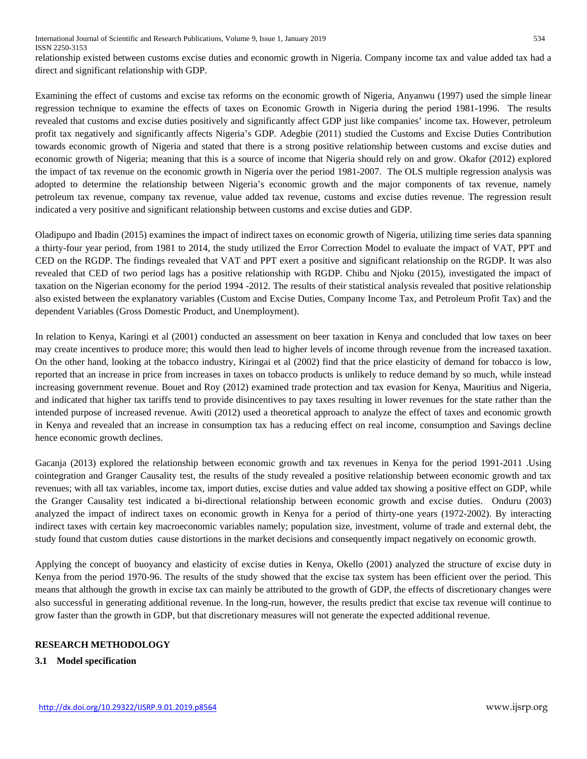relationship existed between customs excise duties and economic growth in Nigeria. Company income tax and value added tax had a direct and significant relationship with GDP.

Examining the effect of customs and excise tax reforms on the economic growth of Nigeria, Anyanwu (1997) used the simple linear regression technique to examine the effects of taxes on Economic Growth in Nigeria during the period 1981-1996. The results revealed that customs and excise duties positively and significantly affect GDP just like companies' income tax. However, petroleum profit tax negatively and significantly affects Nigeria's GDP. Adegbie (2011) studied the Customs and Excise Duties Contribution towards economic growth of Nigeria and stated that there is a strong positive relationship between customs and excise duties and economic growth of Nigeria; meaning that this is a source of income that Nigeria should rely on and grow. Okafor (2012) explored the impact of tax revenue on the economic growth in Nigeria over the period 1981-2007. The OLS multiple regression analysis was adopted to determine the relationship between Nigeria's economic growth and the major components of tax revenue, namely petroleum tax revenue, company tax revenue, value added tax revenue, customs and excise duties revenue. The regression result indicated a very positive and significant relationship between customs and excise duties and GDP.

Oladipupo and Ibadin (2015) examines the impact of indirect taxes on economic growth of Nigeria, utilizing time series data spanning a thirty-four year period, from 1981 to 2014, the study utilized the Error Correction Model to evaluate the impact of VAT, PPT and CED on the RGDP. The findings revealed that VAT and PPT exert a positive and significant relationship on the RGDP. It was also revealed that CED of two period lags has a positive relationship with RGDP. Chibu and Njoku (2015), investigated the impact of taxation on the Nigerian economy for the period 1994 -2012. The results of their statistical analysis revealed that positive relationship also existed between the explanatory variables (Custom and Excise Duties, Company Income Tax, and Petroleum Profit Tax) and the dependent Variables (Gross Domestic Product, and Unemployment).

In relation to Kenya, Karingi et al (2001) conducted an assessment on beer taxation in Kenya and concluded that low taxes on beer may create incentives to produce more; this would then lead to higher levels of income through revenue from the increased taxation. On the other hand, looking at the tobacco industry, Kiringai et al (2002) find that the price elasticity of demand for tobacco is low, reported that an increase in price from increases in taxes on tobacco products is unlikely to reduce demand by so much, while instead increasing government revenue. Bouet and Roy (2012) examined trade protection and tax evasion for Kenya, Mauritius and Nigeria, and indicated that higher tax tariffs tend to provide disincentives to pay taxes resulting in lower revenues for the state rather than the intended purpose of increased revenue. Awiti (2012) used a theoretical approach to analyze the effect of taxes and economic growth in Kenya and revealed that an increase in consumption tax has a reducing effect on real income, consumption and Savings decline hence economic growth declines.

Gacanja (2013) explored the relationship between economic growth and tax revenues in Kenya for the period 1991-2011 .Using cointegration and Granger Causality test, the results of the study revealed a positive relationship between economic growth and tax revenues; with all tax variables, income tax, import duties, excise duties and value added tax showing a positive effect on GDP, while the Granger Causality test indicated a bi-directional relationship between economic growth and excise duties. Onduru (2003) analyzed the impact of indirect taxes on economic growth in Kenya for a period of thirty-one years (1972-2002). By interacting indirect taxes with certain key macroeconomic variables namely; population size, investment, volume of trade and external debt, the study found that custom duties cause distortions in the market decisions and consequently impact negatively on economic growth.

Applying the concept of buoyancy and elasticity of excise duties in Kenya, Okello (2001) analyzed the structure of excise duty in Kenya from the period 1970-96. The results of the study showed that the excise tax system has been efficient over the period. This means that although the growth in excise tax can mainly be attributed to the growth of GDP, the effects of discretionary changes were also successful in generating additional revenue. In the long-run, however, the results predict that excise tax revenue will continue to grow faster than the growth in GDP, but that discretionary measures will not generate the expected additional revenue.

# **RESEARCH METHODOLOGY**

# **3.1 Model specification**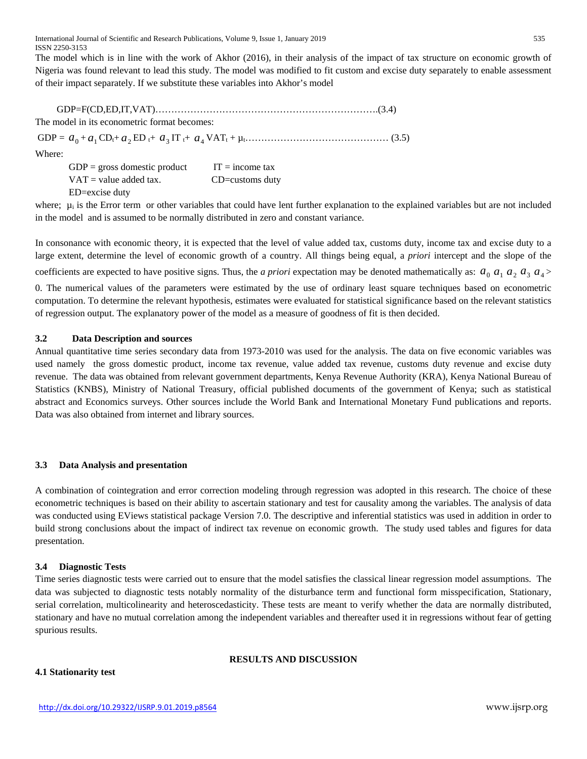International Journal of Scientific and Research Publications, Volume 9, Issue 1, January 2019 535 ISSN 2250-3153

The model which is in line with the work of Akhor (2016), in their analysis of the impact of tax structure on economic growth of Nigeria was found relevant to lead this study*.* The model was modified to fit custom and excise duty separately to enable assessment of their impact separately. If we substitute these variables into Akhor's model

 GDP=F(CD,ED,IT,VAT)…………………………………………………………….(3.4) The model in its econometric format becomes: GDP = 0 *a* <sup>+</sup> *a*<sup>1</sup> CDt+ *a*<sup>2</sup> ED t+ 3 *a* IT t+ *a*<sup>4</sup> VATt + µt……………………………………… (3.5) Where:

 $GDP = gross$  domestic product IT = income tax  $VAT = value added tax.$  CD=customs duty

ED=excise duty

where;  $\mu_i$  is the Error term or other variables that could have lent further explanation to the explained variables but are not included in the model and is assumed to be normally distributed in zero and constant variance.

In consonance with economic theory, it is expected that the level of value added tax, customs duty, income tax and excise duty to a large extent, determine the level of economic growth of a country. All things being equal, a *priori* intercept and the slope of the coefficients are expected to have positive signs. Thus, the *a priori* expectation may be denoted mathematically as:  $a_0$ ,  $a_1$ ,  $a_2$ ,  $a_3$ ,  $a_4$ ,

0. The numerical values of the parameters were estimated by the use of ordinary least square techniques based on econometric computation. To determine the relevant hypothesis, estimates were evaluated for statistical significance based on the relevant statistics of regression output. The explanatory power of the model as a measure of goodness of fit is then decided.

# **3.2 Data Description and sources**

Annual quantitative time series secondary data from 1973-2010 was used for the analysis. The data on five economic variables was used namely the gross domestic product, income tax revenue, value added tax revenue, customs duty revenue and excise duty revenue. The data was obtained from relevant government departments, Kenya Revenue Authority (KRA), Kenya National Bureau of Statistics (KNBS), Ministry of National Treasury, official published documents of the government of Kenya; such as statistical abstract and Economics surveys. Other sources include the World Bank and International Monetary Fund publications and reports. Data was also obtained from internet and library sources.

#### **3.3 Data Analysis and presentation**

A combination of cointegration and error correction modeling through regression was adopted in this research. The choice of these econometric techniques is based on their ability to ascertain stationary and test for causality among the variables. The analysis of data was conducted using EViews statistical package Version 7.0. The descriptive and inferential statistics was used in addition in order to build strong conclusions about the impact of indirect tax revenue on economic growth.The study used tables and figures for data presentation.

#### **3.4 Diagnostic Tests**

Time series diagnostic tests were carried out to ensure that the model satisfies the classical linear regression model assumptions. The data was subjected to diagnostic tests notably normality of the disturbance term and functional form misspecification, Stationary, serial correlation, multicolinearity and heteroscedasticity. These tests are meant to verify whether the data are normally distributed, stationary and have no mutual correlation among the independent variables and thereafter used it in regressions without fear of getting spurious results.

# **RESULTS AND DISCUSSION**

# **4.1 Stationarity test**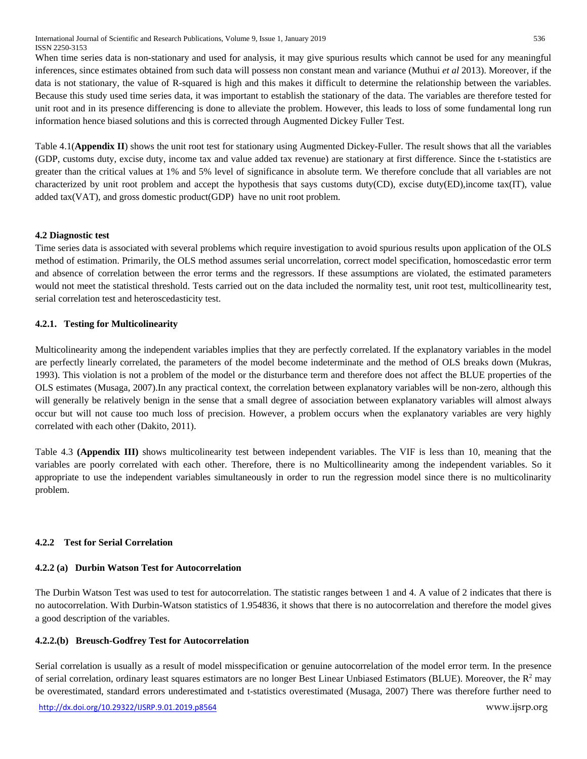International Journal of Scientific and Research Publications, Volume 9, Issue 1, January 2019 536 ISSN 2250-3153

When time series data is non-stationary and used for analysis, it may give spurious results which cannot be used for any meaningful inferences, since estimates obtained from such data will possess non constant mean and variance (Muthui *et al* 2013). Moreover, if the data is not stationary, the value of R-squared is high and this makes it difficult to determine the relationship between the variables. Because this study used time series data, it was important to establish the stationary of the data. The variables are therefore tested for unit root and in its presence differencing is done to alleviate the problem. However, this leads to loss of some fundamental long run information hence biased solutions and this is corrected through Augmented Dickey Fuller Test.

Table 4.1(**Appendix II**) shows the unit root test for stationary using Augmented Dickey-Fuller. The result shows that all the variables (GDP, customs duty, excise duty, income tax and value added tax revenue) are stationary at first difference. Since the t-statistics are greater than the critical values at 1% and 5% level of significance in absolute term. We therefore conclude that all variables are not characterized by unit root problem and accept the hypothesis that says customs duty(CD), excise duty(ED),income tax(IT), value added tax(VAT), and gross domestic product(GDP) have no unit root problem.

# **4.2 Diagnostic test**

Time series data is associated with several problems which require investigation to avoid spurious results upon application of the OLS method of estimation. Primarily, the OLS method assumes serial uncorrelation, correct model specification, homoscedastic error term and absence of correlation between the error terms and the regressors. If these assumptions are violated, the estimated parameters would not meet the statistical threshold. Tests carried out on the data included the normality test, unit root test, multicollinearity test, serial correlation test and heteroscedasticity test.

# **4.2.1. Testing for Multicolinearity**

Multicolinearity among the independent variables implies that they are perfectly correlated. If the explanatory variables in the model are perfectly linearly correlated, the parameters of the model become indeterminate and the method of OLS breaks down (Mukras, 1993). This violation is not a problem of the model or the disturbance term and therefore does not affect the BLUE properties of the OLS estimates (Musaga, 2007).In any practical context, the correlation between explanatory variables will be non-zero, although this will generally be relatively benign in the sense that a small degree of association between explanatory variables will almost always occur but will not cause too much loss of precision. However, a problem occurs when the explanatory variables are very highly correlated with each other (Dakito, 2011).

Table 4.3 **(Appendix III)** shows multicolinearity test between independent variables. The VIF is less than 10, meaning that the variables are poorly correlated with each other. Therefore, there is no Multicollinearity among the independent variables. So it appropriate to use the independent variables simultaneously in order to run the regression model since there is no multicolinarity problem.

# **4.2.2 Test for Serial Correlation**

# **4.2.2 (a) Durbin Watson Test for Autocorrelation**

The Durbin Watson Test was used to test for autocorrelation. The statistic ranges between 1 and 4. A value of 2 indicates that there is no autocorrelation. With Durbin-Watson statistics of 1.954836, it shows that there is no autocorrelation and therefore the model gives a good description of the variables.

# **4.2.2.(b) Breusch-Godfrey Test for Autocorrelation**

Serial correlation is usually as a result of model misspecification or genuine autocorrelation of the model error term. In the presence of serial correlation, ordinary least squares estimators are no longer Best Linear Unbiased Estimators (BLUE). Moreover, the  $R^2$  may be overestimated, standard errors underestimated and t-statistics overestimated (Musaga, 2007) There was therefore further need to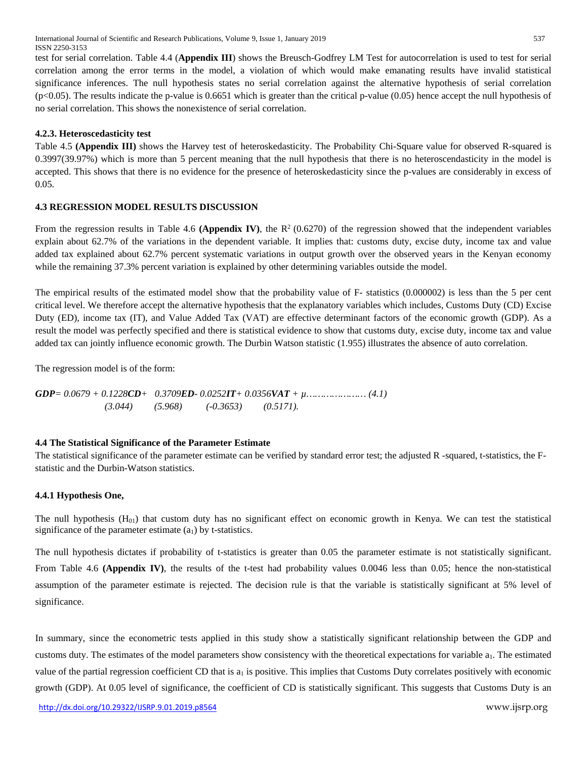test for serial correlation. Table 4.4 (**Appendix III**) shows the Breusch-Godfrey LM Test for autocorrelation is used to test for serial correlation among the error terms in the model, a violation of which would make emanating results have invalid statistical significance inferences. The null hypothesis states no serial correlation against the alternative hypothesis of serial correlation (p<0.05). The results indicate the p-value is 0.6651 which is greater than the critical p-value (0.05) hence accept the null hypothesis of no serial correlation. This shows the nonexistence of serial correlation.

# **4.2.3. Heteroscedasticity test**

Table 4.5 **(Appendix III)** shows the Harvey test of heteroskedasticity. The Probability Chi-Square value for observed R-squared is 0.3997(39.97%) which is more than 5 percent meaning that the null hypothesis that there is no heteroscendasticity in the model is accepted. This shows that there is no evidence for the presence of heteroskedasticity since the p-values are considerably in excess of 0.05.

#### **4.3 REGRESSION MODEL RESULTS DISCUSSION**

From the regression results in Table 4.6 (Appendix IV), the  $R^2$  (0.6270) of the regression showed that the independent variables explain about 62.7% of the variations in the dependent variable. It implies that: customs duty, excise duty, income tax and value added tax explained about 62.7% percent systematic variations in output growth over the observed years in the Kenyan economy while the remaining 37.3% percent variation is explained by other determining variables outside the model.

The empirical results of the estimated model show that the probability value of F- statistics (0.000002) is less than the 5 per cent critical level. We therefore accept the alternative hypothesis that the explanatory variables which includes, Customs Duty (CD) Excise Duty (ED), income tax (IT), and Value Added Tax (VAT) are effective determinant factors of the economic growth (GDP). As a result the model was perfectly specified and there is statistical evidence to show that customs duty, excise duty, income tax and value added tax can jointly influence economic growth. The Durbin Watson statistic (1.955) illustrates the absence of auto correlation.

The regression model is of the form:

*GDP= 0.0679 + 0.1228CD+ 0.3709ED- 0.0252IT+ 0.0356VAT + µ………………… (4.1) (3.044) (5.968) (-0.3653) (0.5171).*

#### **4.4 The Statistical Significance of the Parameter Estimate**

The statistical significance of the parameter estimate can be verified by standard error test; the adjusted R -squared, t-statistics, the Fstatistic and the Durbin-Watson statistics.

#### **4.4.1 Hypothesis One,**

The null hypothesis  $(H<sub>01</sub>)$  that custom duty has no significant effect on economic growth in Kenya. We can test the statistical significance of the parameter estimate  $(a_1)$  by t-statistics.

The null hypothesis dictates if probability of t-statistics is greater than 0.05 the parameter estimate is not statistically significant. From Table 4.6 **(Appendix IV)**, the results of the t-test had probability values 0.0046 less than 0.05; hence the non-statistical assumption of the parameter estimate is rejected. The decision rule is that the variable is statistically significant at 5% level of significance.

In summary, since the econometric tests applied in this study show a statistically significant relationship between the GDP and customs duty. The estimates of the model parameters show consistency with the theoretical expectations for variable  $a<sub>1</sub>$ . The estimated value of the partial regression coefficient CD that is  $a_1$  is positive. This implies that Customs Duty correlates positively with economic growth (GDP). At 0.05 level of significance, the coefficient of CD is statistically significant. This suggests that Customs Duty is an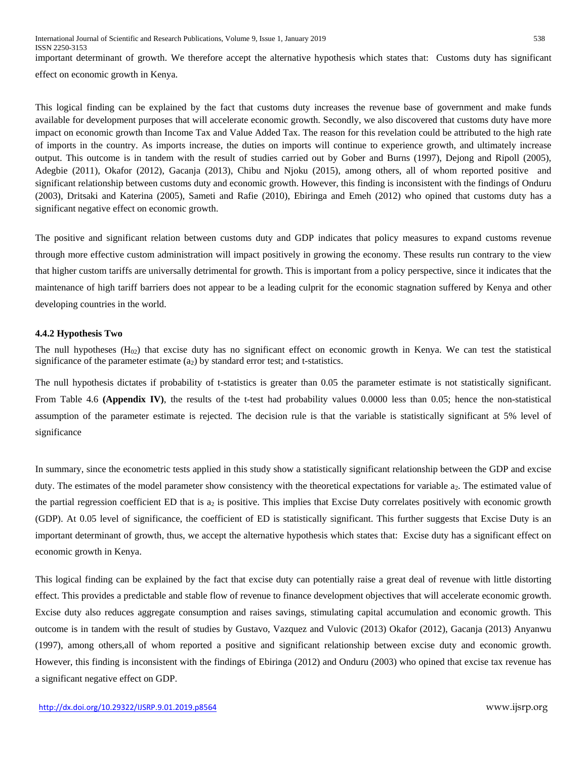effect on economic growth in Kenya.

This logical finding can be explained by the fact that customs duty increases the revenue base of government and make funds available for development purposes that will accelerate economic growth. Secondly, we also discovered that customs duty have more impact on economic growth than Income Tax and Value Added Tax. The reason for this revelation could be attributed to the high rate of imports in the country. As imports increase, the duties on imports will continue to experience growth, and ultimately increase output. This outcome is in tandem with the result of studies carried out by Gober and Burns (1997), Dejong and Ripoll (2005), Adegbie (2011), Okafor (2012), Gacanja (2013), Chibu and Njoku (2015), among others, all of whom reported positive and significant relationship between customs duty and economic growth. However, this finding is inconsistent with the findings of Onduru (2003), Dritsaki and Katerina (2005), Sameti and Rafie (2010), Ebiringa and Emeh (2012) who opined that customs duty has a significant negative effect on economic growth.

The positive and significant relation between customs duty and GDP indicates that policy measures to expand customs revenue through more effective custom administration will impact positively in growing the economy. These results run contrary to the view that higher custom tariffs are universally detrimental for growth. This is important from a policy perspective, since it indicates that the maintenance of high tariff barriers does not appear to be a leading culprit for the economic stagnation suffered by Kenya and other developing countries in the world.

# **4.4.2 Hypothesis Two**

The null hypotheses  $(H_{02})$  that excise duty has no significant effect on economic growth in Kenya. We can test the statistical significance of the parameter estimate  $(a<sub>2</sub>)$  by standard error test; and t-statistics.

The null hypothesis dictates if probability of t-statistics is greater than 0.05 the parameter estimate is not statistically significant. From Table 4.6 (Appendix IV), the results of the t-test had probability values 0.0000 less than 0.05; hence the non-statistical assumption of the parameter estimate is rejected. The decision rule is that the variable is statistically significant at 5% level of significance

In summary, since the econometric tests applied in this study show a statistically significant relationship between the GDP and excise duty. The estimates of the model parameter show consistency with the theoretical expectations for variable a<sub>2</sub>. The estimated value of the partial regression coefficient ED that is  $a_2$  is positive. This implies that Excise Duty correlates positively with economic growth (GDP). At 0.05 level of significance, the coefficient of ED is statistically significant. This further suggests that Excise Duty is an important determinant of growth, thus, we accept the alternative hypothesis which states that: Excise duty has a significant effect on economic growth in Kenya.

This logical finding can be explained by the fact that excise duty can potentially raise a great deal of revenue with little distorting effect. This provides a predictable and stable flow of revenue to finance development objectives that will accelerate economic growth. Excise duty also reduces aggregate consumption and raises savings, stimulating capital accumulation and economic growth. This outcome is in tandem with the result of studies by Gustavo, Vazquez and Vulovic (2013) Okafor (2012), Gacanja (2013) Anyanwu (1997), among others,all of whom reported a positive and significant relationship between excise duty and economic growth. However, this finding is inconsistent with the findings of Ebiringa (2012) and Onduru (2003) who opined that excise tax revenue has a significant negative effect on GDP.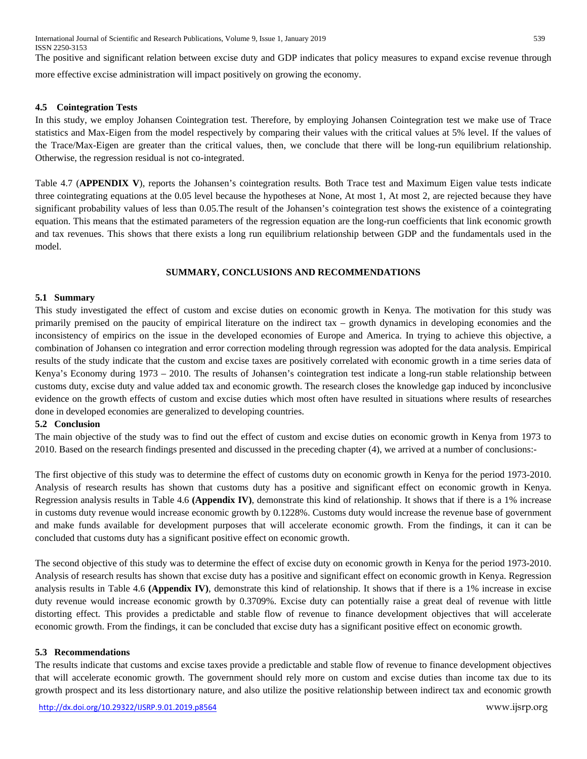International Journal of Scientific and Research Publications, Volume 9, Issue 1, January 2019 539 ISSN 2250-3153

The positive and significant relation between excise duty and GDP indicates that policy measures to expand excise revenue through more effective excise administration will impact positively on growing the economy.

#### **4.5 Cointegration Tests**

In this study, we employ Johansen Cointegration test. Therefore, by employing Johansen Cointegration test we make use of Trace statistics and Max-Eigen from the model respectively by comparing their values with the critical values at 5% level. If the values of the Trace/Max-Eigen are greater than the critical values, then, we conclude that there will be long-run equilibrium relationship. Otherwise, the regression residual is not co-integrated.

Table 4.7 (**APPENDIX V**), reports the Johansen's cointegration results*.* Both Trace test and Maximum Eigen value tests indicate three cointegrating equations at the 0.05 level because the hypotheses at None, At most 1, At most 2, are rejected because they have significant probability values of less than 0.05.The result of the Johansen's cointegration test shows the existence of a cointegrating equation. This means that the estimated parameters of the regression equation are the long-run coefficients that link economic growth and tax revenues. This shows that there exists a long run equilibrium relationship between GDP and the fundamentals used in the model.

#### **SUMMARY, CONCLUSIONS AND RECOMMENDATIONS**

#### **5.1 Summary**

This study investigated the effect of custom and excise duties on economic growth in Kenya. The motivation for this study was primarily premised on the paucity of empirical literature on the indirect tax – growth dynamics in developing economies and the inconsistency of empirics on the issue in the developed economies of Europe and America. In trying to achieve this objective, a combination of Johansen co integration and error correction modeling through regression was adopted for the data analysis. Empirical results of the study indicate that the custom and excise taxes are positively correlated with economic growth in a time series data of Kenya's Economy during 1973 – 2010. The results of Johansen's cointegration test indicate a long-run stable relationship between customs duty, excise duty and value added tax and economic growth. The research closes the knowledge gap induced by inconclusive evidence on the growth effects of custom and excise duties which most often have resulted in situations where results of researches done in developed economies are generalized to developing countries.

#### **5.2 Conclusion**

The main objective of the study was to find out the effect of custom and excise duties on economic growth in Kenya from 1973 to 2010. Based on the research findings presented and discussed in the preceding chapter (4), we arrived at a number of conclusions:-

The first objective of this study was to determine the effect of customs duty on economic growth in Kenya for the period 1973-2010. Analysis of research results has shown that customs duty has a positive and significant effect on economic growth in Kenya. Regression analysis results in Table 4.6 **(Appendix IV)**, demonstrate this kind of relationship. It shows that if there is a 1% increase in customs duty revenue would increase economic growth by 0.1228%. Customs duty would increase the revenue base of government and make funds available for development purposes that will accelerate economic growth. From the findings, it can it can be concluded that customs duty has a significant positive effect on economic growth.

The second objective of this study was to determine the effect of excise duty on economic growth in Kenya for the period 1973-2010. Analysis of research results has shown that excise duty has a positive and significant effect on economic growth in Kenya. Regression analysis results in Table 4.6 **(Appendix IV)**, demonstrate this kind of relationship. It shows that if there is a 1% increase in excise duty revenue would increase economic growth by 0.3709%. Excise duty can potentially raise a great deal of revenue with little distorting effect. This provides a predictable and stable flow of revenue to finance development objectives that will accelerate economic growth. From the findings, it can be concluded that excise duty has a significant positive effect on economic growth.

#### **5.3 Recommendations**

The results indicate that customs and excise taxes provide a predictable and stable flow of revenue to finance development objectives that will accelerate economic growth. The government should rely more on custom and excise duties than income tax due to its growth prospect and its less distortionary nature, and also utilize the positive relationship between indirect tax and economic growth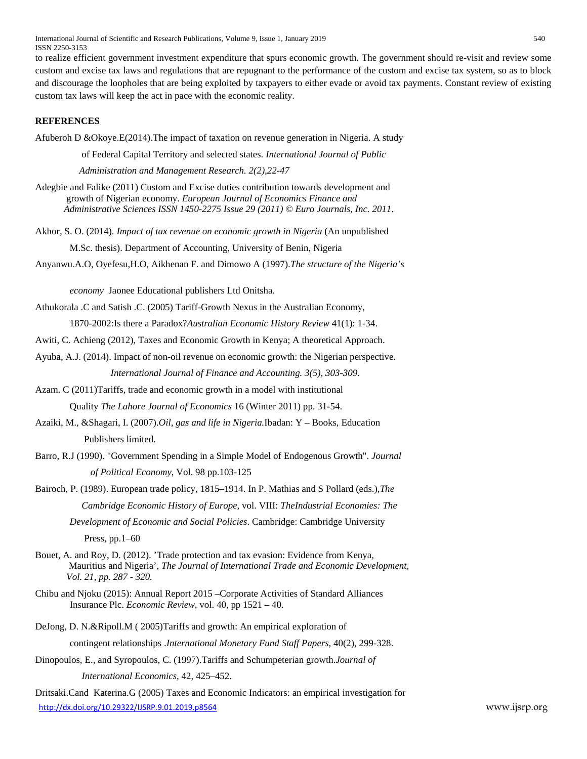International Journal of Scientific and Research Publications, Volume 9, Issue 1, January 2019 540 ISSN 2250-3153

to realize efficient government investment expenditure that spurs economic growth. The government should re-visit and review some custom and excise tax laws and regulations that are repugnant to the performance of the custom and excise tax system, so as to block and discourage the loopholes that are being exploited by taxpayers to either evade or avoid tax payments. Constant review of existing custom tax laws will keep the act in pace with the economic reality.

#### **REFERENCES**

Afuberoh D &Okoye.E(2014).The impact of taxation on revenue generation in Nigeria. A study

of Federal Capital Territory and selected states. *International Journal of Public* 

 *Administration and Management Research. 2(2),22-47*

Adegbie and Falike (2011) Custom and Excise duties contribution towards development and growth of Nigerian economy. *European Journal of Economics Finance and Administrative Sciences ISSN 1450-2275 Issue 29 (2011) © Euro Journals, Inc. 2011*.

Akhor, S. O. (2014). *Impact of tax revenue on economic growth in Nigeria* (An unpublished

M.Sc. thesis). Department of Accounting, University of Benin, Nigeria

Anyanwu.A.O, Oyefesu,H.O, Aikhenan F. and Dimowo A (1997).*The structure of the Nigeria's*

*economy* Jaonee Educational publishers Ltd Onitsha.

Athukorala .C and Satish .C. (2005) Tariff-Growth Nexus in the Australian Economy,

1870-2002:Is there a Paradox?*Australian Economic History Review* 41(1): 1-34.

Awiti, C. Achieng (2012), Taxes and Economic Growth in Kenya; A theoretical Approach.

- Ayuba, A.J. (2014). Impact of non-oil revenue on economic growth: the Nigerian perspective. *International Journal of Finance and Accounting. 3(5), 303-309.*
- Azam. C (2011)Tariffs, trade and economic growth in a model with institutional

Quality *The Lahore Journal of Economics* 16 (Winter 2011) pp. 31-54.

- Azaiki, M., &Shagari, I. (2007).*Oil, gas and life in Nigeria.*Ibadan: Y Books, Education Publishers limited.
- Barro, R.J (1990). "Government Spending in a Simple Model of Endogenous Growth". *Journal of Political Economy*, Vol. 98 pp.103-125
- Bairoch, P. (1989). European trade policy, 1815–1914. In P. Mathias and S Pollard (eds.),*The Cambridge Economic History of Europe*, vol. VIII: *TheIndustrial Economies: The*

*Development of Economic and Social Policies*. Cambridge: Cambridge University Press, pp.1–60

- Bouet, A. and Roy, D. (2012). 'Trade protection and tax evasion: Evidence from Kenya, Mauritius and Nigeria', *The Journal of International Trade and Economic Development, Vol. 21, pp. 287 - 320.*
- Chibu and Njoku (2015): Annual Report 2015 –Corporate Activities of Standard Alliances Insurance Plc. *Economic Review,* vol. 40, pp 1521 – 40.
- DeJong, D. N.&Ripoll.M ( 2005)Tariffs and growth: An empirical exploration of contingent relationships .*International Monetary Fund Staff Papers*, 40(2), 299-328.
- Dinopoulos, E., and Syropoulos, C. (1997).Tariffs and Schumpeterian growth.*Journal of International Economics*, 42, 425–452.

<http://dx.doi.org/10.29322/IJSRP.9.01.2019.p8564> www.ijsrp.org Dritsaki.Cand Katerina.G (2005) Taxes and Economic Indicators: an empirical investigation for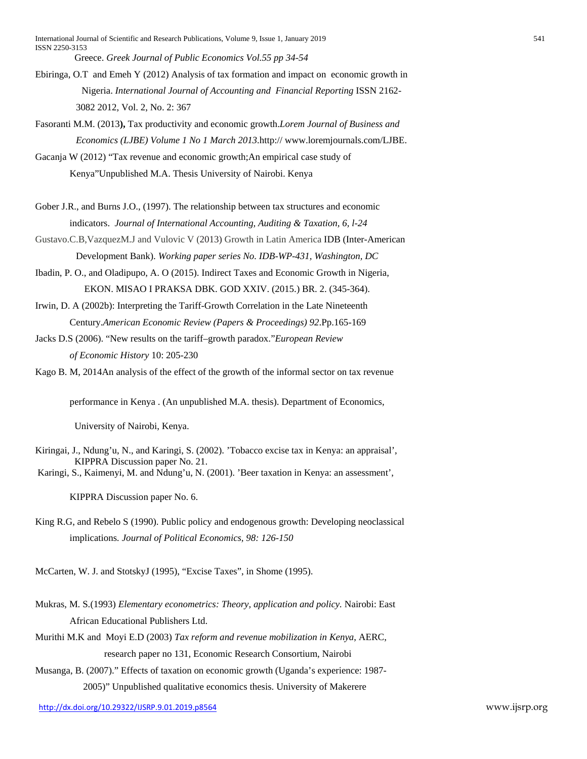International Journal of Scientific and Research Publications, Volume 9, Issue 1, January 2019 541 ISSN 2250-3153 Greece. *Greek Journal of Public Economics Vol.55 pp 34-54*

- Ebiringa, O.T and Emeh Y (2012) Analysis of tax formation and impact on economic growth in Nigeria. *International Journal of Accounting and Financial Reporting* ISSN 2162- 3082 2012, Vol. 2, No. 2: 367
- Fasoranti M.M. (2013**),** Tax productivity and economic growth.*Lorem Journal of Business and Economics (LJBE) Volume 1 No 1 March 2013.*http:// www.loremjournals.com/LJBE.
- Gacanja W (2012) "Tax revenue and economic growth;An empirical case study of Kenya"Unpublished M.A. Thesis University of Nairobi. Kenya
- Gober J.R., and Burns J.O., (1997). The relationship between tax structures and economic indicators. *Journal of International Accounting, Auditing & Taxation, 6, l-24*
- Gustavo.C.B,VazquezM.J and Vulovic V (2013) Growth in Latin America IDB (Inter-American Development Bank). *Working paper series No. IDB-WP-431, Washington, DC*
- Ibadin, P. O., and Oladipupo, A. O (2015). Indirect Taxes and Economic Growth in Nigeria, EKON. MISAO I PRAKSA DBK. GOD XXIV. (2015.) BR. 2. (345-364).
- Irwin, D. A (2002b): Interpreting the Tariff-Growth Correlation in the Late Nineteenth Century.*American Economic Review (Papers & Proceedings) 92*.Pp.165-169
- Jacks D.S (2006). "New results on the tariff–growth paradox."*European Review of Economic History* 10: 205-230

Kago B. M, 2014An analysis of the effect of the growth of the informal sector on tax revenue

performance in Kenya . (An unpublished M.A. thesis). Department of Economics,

University of Nairobi, Kenya.

- Kiringai, J., Ndung'u, N., and Karingi, S. (2002). 'Tobacco excise tax in Kenya: an appraisal', KIPPRA Discussion paper No. 21.
- Karingi, S., Kaimenyi, M. and Ndung'u, N. (2001). 'Beer taxation in Kenya: an assessment',

KIPPRA Discussion paper No. 6.

King R.G, and Rebelo S (1990). Public policy and endogenous growth: Developing neoclassical implications*. Journal of Political Economics, 98: 126-150* 

McCarten, W. J. and StotskyJ (1995), "Excise Taxes", in Shome (1995).

- Mukras, M. S.(1993) *Elementary econometrics: Theory, application and policy.* Nairobi: East African Educational Publishers Ltd.
- Murithi M.K and Moyi E.D (2003) *Tax reform and revenue mobilization in Kenya*, AERC, research paper no 131, Economic Research Consortium, Nairobi
- Musanga, B. (2007)." Effects of taxation on economic growth (Uganda's experience: 1987- 2005)" Unpublished qualitative economics thesis. University of Makerere

<http://dx.doi.org/10.29322/IJSRP.9.01.2019.p8564> www.ijsrp.org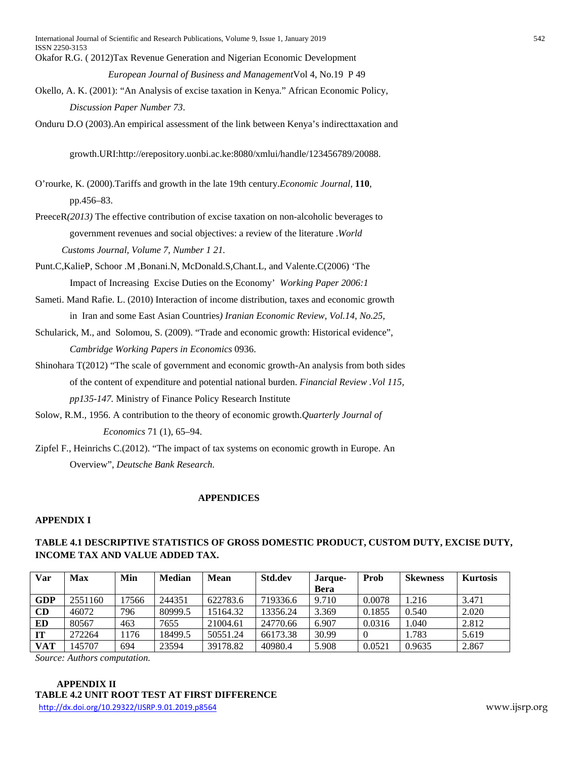- Okafor R.G. ( 2012)Tax Revenue Generation and Nigerian Economic Development *European Journal of Business and Management*Vol 4, No.19 P 49
- Okello, A. K. (2001): "An Analysis of excise taxation in Kenya." African Economic Policy, *Discussion Paper Number 73*.
- Onduru D.O (2003).An empirical assessment of the link between Kenya's indirecttaxation and

growth.URI:http://erepository.uonbi.ac.ke:8080/xmlui/handle/123456789/20088.

- O'rourke, K. (2000).Tariffs and growth in the late 19th century.*Economic Journal*, **110**, pp.456–83.
- PreeceR*(2013)* The effective contribution of excise taxation on non-alcoholic beverages to government revenues and social objectives: a review of the literature .*World Customs Journal, Volume 7, Number 1 21.*
- Punt.C,KalieP, Schoor .M ,Bonani.N, McDonald.S,Chant.L, and Valente.C(2006) 'The Impact of Increasing Excise Duties on the Economy' *Working Paper 2006:1*
- Sameti. Mand Rafie. L. (2010) Interaction of income distribution, taxes and economic growth in Iran and some East Asian Countries*) Iranian Economic Review, Vol.14, No.25,*
- Schularick, M., and Solomou, S. (2009). "Trade and economic growth: Historical evidence", *Cambridge Working Papers in Economics* 0936.
- Shinohara T(2012) "The scale of government and economic growth-An analysis from both sides of the content of expenditure and potential national burden. *Financial Review .Vol 115, pp135-147.* Ministry of Finance Policy Research Institute
- Solow, R.M., 1956. A contribution to the theory of economic growth.*Quarterly Journal of Economics* 71 (1), 65–94.
- Zipfel F., Heinrichs C.(2012). "The impact of tax systems on economic growth in Europe. An Overview", *Deutsche Bank Research.*

#### **APPENDICES**

#### **APPENDIX I**

# **TABLE 4.1 DESCRIPTIVE STATISTICS OF GROSS DOMESTIC PRODUCT, CUSTOM DUTY, EXCISE DUTY, INCOME TAX AND VALUE ADDED TAX.**

| Var       | <b>Max</b> | Min  | <b>Median</b> | Mean     | <b>Std.dev</b> | Jarque- | <b>Prob</b>    | Skewness | <b>Kurtosis</b> |
|-----------|------------|------|---------------|----------|----------------|---------|----------------|----------|-----------------|
|           |            |      |               |          |                | Bera    |                |          |                 |
| GDP       | 2551160    | 7566 | 244351        | 622783.6 | 719336.6       | 9.710   | 0.0078         | 1.216    | 3.471           |
| CD        | 46072      | 796  | 80999.5       | 15164.32 | 13356.24       | 3.369   | 0.1855         | 0.540    | 2.020           |
| ED        | 80567      | 463  | 7655          | 21004.61 | 24770.66       | 6.907   | 0.0316         | 1.040    | 2.812           |
| <b>IT</b> | 272264     | 1176 | 18499.5       | 50551.24 | 66173.38       | 30.99   | $\overline{0}$ | 1.783    | 5.619           |
| VAT       | 45707      | 694  | 23594         | 39178.82 | 40980.4        | 5.908   | 0.0521         | 0.9635   | 2.867           |

*Source: Authors computation.*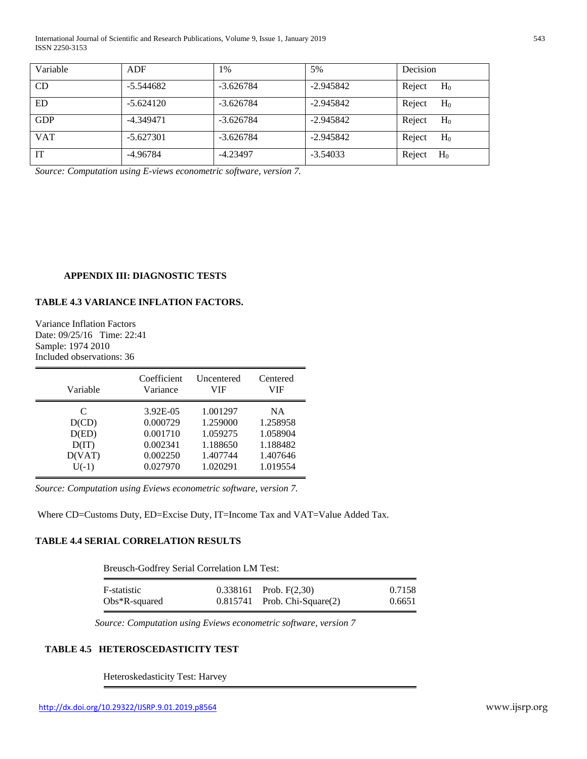International Journal of Scientific and Research Publications, Volume 9, Issue 1, January 2019 543 ISSN 2250-3153

| Variable   | ADF         | 1%          | 5%          | Decision        |
|------------|-------------|-------------|-------------|-----------------|
| CD         | $-5.544682$ | $-3.626784$ | $-2.945842$ | Reject<br>$H_0$ |
| ED         | $-5.624120$ | $-3.626784$ | $-2.945842$ | Reject<br>$H_0$ |
| <b>GDP</b> | $-4.349471$ | $-3.626784$ | $-2.945842$ | Reject<br>$H_0$ |
| <b>VAT</b> | $-5.627301$ | $-3.626784$ | $-2.945842$ | Reject<br>$H_0$ |
| <b>IT</b>  | $-4.96784$  | $-4.23497$  | $-3.54033$  | Reject<br>$H_0$ |

*Source: Computation using E-views econometric software, version 7.*

#### **APPENDIX III: DIAGNOSTIC TESTS**

# **TABLE 4.3 VARIANCE INFLATION FACTORS.**

Variance Inflation Factors Date: 09/25/16 Time: 22:41 Sample: 1974 2010 Included observations: 36

| Variable | Coefficient | Uncentered | Centered |
|----------|-------------|------------|----------|
|          | Variance    | VIF        | VIF      |
| C        | 3.92E-05    | 1.001297   | NA.      |
| D(CD)    | 0.000729    | 1.259000   | 1.258958 |
| D(ED)    | 0.001710    | 1.059275   | 1.058904 |
| D(T)     | 0.002341    | 1.188650   | 1.188482 |
| D(VAT)   | 0.002250    | 1.407744   | 1.407646 |
| $U(-1)$  | 0.027970    | 1.020291   | 1.019554 |

*Source: Computation using Eviews econometric software, version 7.*

Where CD=Customs Duty, ED=Excise Duty, IT=Income Tax and VAT=Value Added Tax.

# **TABLE 4.4 SERIAL CORRELATION RESULTS**

Breusch-Godfrey Serial Correlation LM Test:

| F-statistic      | $0.338161$ Prob. F(2,30)          | 0.7158 |
|------------------|-----------------------------------|--------|
| $Obs*R$ -squared | $0.815741$ Prob. Chi-Square $(2)$ | 0.6651 |

 *Source: Computation using Eviews econometric software, version 7*

# **TABLE 4.5 HETEROSCEDASTICITY TEST**

Heteroskedasticity Test: Harvey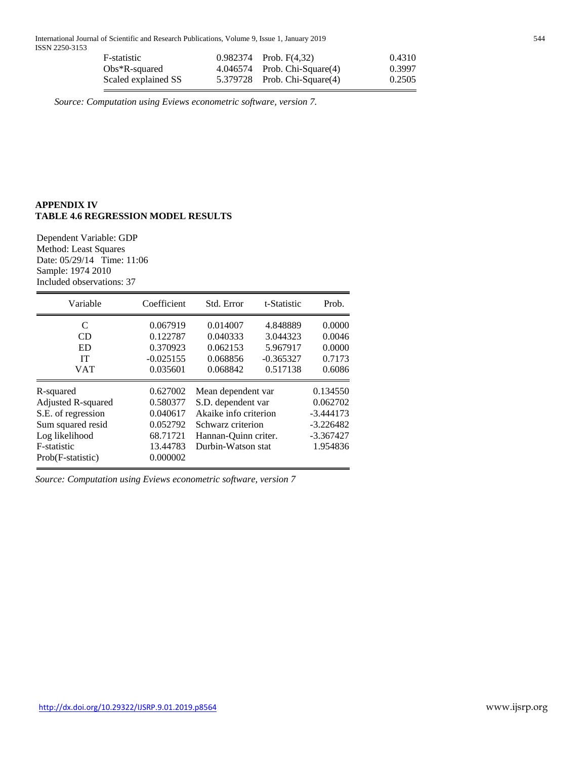International Journal of Scientific and Research Publications, Volume 9, Issue 1, January 2019 544 ISSN 2250-3153

| F-statistic         | $0.982374$ Prob. F(4.32)          | 0.4310 |
|---------------------|-----------------------------------|--------|
| $Obs*R$ -squared    | $4.046574$ Prob. Chi-Square $(4)$ | 0.3997 |
| Scaled explained SS | 5.379728 Prob. Chi-Square(4)      | 0.2505 |

 *Source: Computation using Eviews econometric software, version 7.*

# **APPENDIX IV TABLE 4.6 REGRESSION MODEL RESULTS**

Dependent Variable: GDP Method: Least Squares Date: 05/29/14 Time: 11:06 Sample: 1974 2010 Included observations: 37

| Variable           | Coefficient | Std. Error            | t-Statistic | Prob.       |
|--------------------|-------------|-----------------------|-------------|-------------|
| C                  | 0.067919    | 0.014007              | 4.848889    | 0.0000      |
| <b>CD</b>          | 0.122787    | 0.040333              | 3.044323    | 0.0046      |
| <b>ED</b>          | 0.370923    | 0.062153              | 5.967917    | 0.0000      |
| <b>IT</b>          | $-0.025155$ | 0.068856              | $-0.365327$ | 0.7173      |
| <b>VAT</b>         | 0.035601    | 0.068842              | 0.517138    | 0.6086      |
| R-squared          | 0.627002    | Mean dependent var    |             | 0.134550    |
| Adjusted R-squared | 0.580377    | S.D. dependent var    |             | 0.062702    |
| S.E. of regression | 0.040617    | Akaike info criterion |             | $-3.444173$ |
| Sum squared resid  | 0.052792    | Schwarz criterion     |             | $-3.226482$ |
| Log likelihood     | 68.71721    | Hannan-Quinn criter.  |             | $-3.367427$ |
| F-statistic        | 13.44783    | Durbin-Watson stat    |             | 1.954836    |
| Prob(F-statistic)  | 0.000002    |                       |             |             |

*Source: Computation using Eviews econometric software, version 7*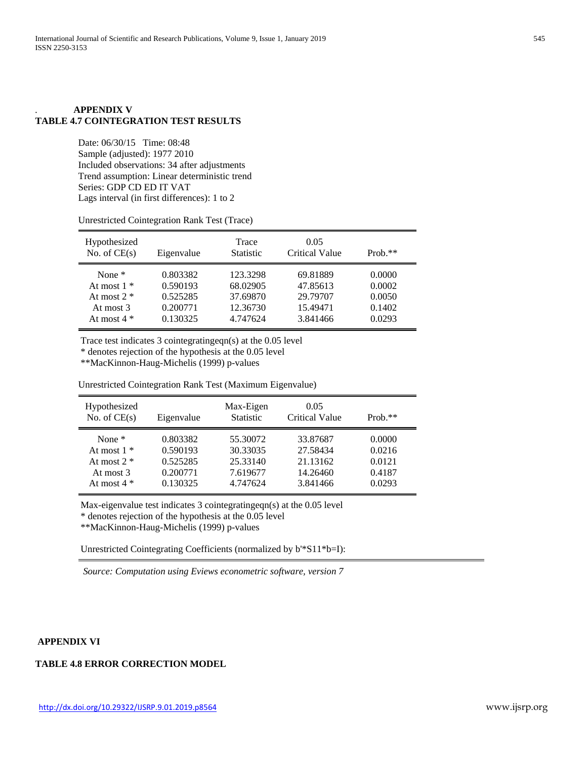# *.* **APPENDIX V TABLE 4.7 COINTEGRATION TEST RESULTS**

Date: 06/30/15 Time: 08:48 Sample (adjusted): 1977 2010 Included observations: 34 after adjustments Trend assumption: Linear deterministic trend Series: GDP CD ED IT VAT Lags interval (in first differences): 1 to 2

| Hypothesized<br>No. of $CE(s)$ | Eigenvalue | Trace<br><b>Statistic</b> | 0.05<br><b>Critical Value</b> | $Prob.**$ |
|--------------------------------|------------|---------------------------|-------------------------------|-----------|
| None $*$                       | 0.803382   | 123.3298                  | 69.81889                      | 0.0000    |
| At most $1 *$                  | 0.590193   | 68.02905                  | 47.85613                      | 0.0002    |
| At most $2 *$                  | 0.525285   | 37.69870                  | 29.79707                      | 0.0050    |
| At most 3                      | 0.200771   | 12.36730                  | 15.49471                      | 0.1402    |
| At most $4 *$                  | 0.130325   | 4.747624                  | 3.841466                      | 0.0293    |

Unrestricted Cointegration Rank Test (Trace)

Trace test indicates 3 cointegratingeqn(s) at the 0.05 level

\* denotes rejection of the hypothesis at the 0.05 level

\*\*MacKinnon-Haug-Michelis (1999) p-values

Unrestricted Cointegration Rank Test (Maximum Eigenvalue)

| Hypothesized<br>No. of $CE(s)$ | Eigenvalue | Max-Eigen<br><b>Statistic</b> | 0.05<br><b>Critical Value</b> | Prob. $**$ |
|--------------------------------|------------|-------------------------------|-------------------------------|------------|
| None $*$                       | 0.803382   | 55.30072                      | 33.87687                      | 0.0000     |
| At most $1 *$                  | 0.590193   | 30.33035                      | 27.58434                      | 0.0216     |
| At most $2 *$                  | 0.525285   | 25.33140                      | 21.13162                      | 0.0121     |
| At most 3                      | 0.200771   | 7.619677                      | 14.26460                      | 0.4187     |
| At most $4 *$                  | 0.130325   | 4.747624                      | 3.841466                      | 0.0293     |

Max-eigenvalue test indicates 3 cointegratingeqn(s) at the 0.05 level

\* denotes rejection of the hypothesis at the 0.05 level

\*\*MacKinnon-Haug-Michelis (1999) p-values

Unrestricted Cointegrating Coefficients (normalized by b'\*S11\*b=I):

 *Source: Computation using Eviews econometric software, version 7*

#### **APPENDIX VI**

# **TABLE 4.8 ERROR CORRECTION MODEL**